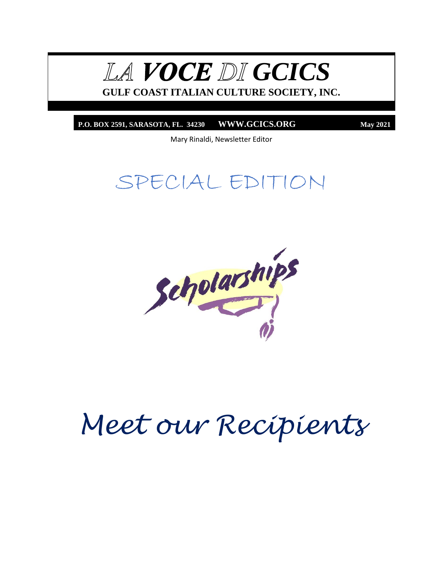LA **VOCE** DI GCICS

**GULF COAST ITALIAN CULTURE SOCIETY, INC.**

**P.O. BOX 2591, SARASOTA, FL. 34230 WWW.GCICS.ORG May 2021**

Mary Rinaldi, Newsletter Editor

## SPECIAL EDITION



# *Meet our Recipients*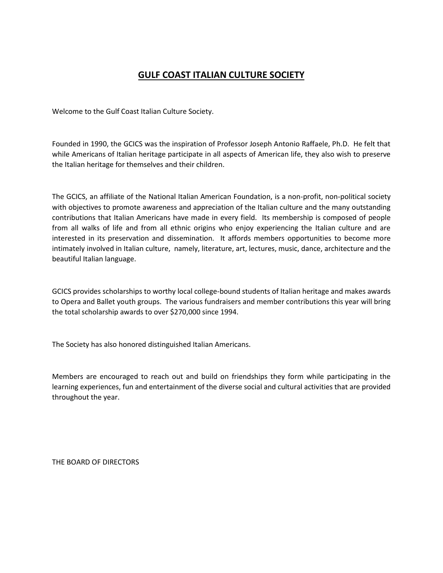#### **GULF COAST ITALIAN CULTURE SOCIETY**

Welcome to the Gulf Coast Italian Culture Society.

Founded in 1990, the GCICS was the inspiration of Professor Joseph Antonio Raffaele, Ph.D. He felt that while Americans of Italian heritage participate in all aspects of American life, they also wish to preserve the Italian heritage for themselves and their children.

The GCICS, an affiliate of the National Italian American Foundation, is a non-profit, non-political society with objectives to promote awareness and appreciation of the Italian culture and the many outstanding contributions that Italian Americans have made in every field. Its membership is composed of people from all walks of life and from all ethnic origins who enjoy experiencing the Italian culture and are interested in its preservation and dissemination. It affords members opportunities to become more intimately involved in Italian culture, namely, literature, art, lectures, music, dance, architecture and the beautiful Italian language.

GCICS provides scholarships to worthy local college-bound students of Italian heritage and makes awards to Opera and Ballet youth groups. The various fundraisers and member contributions this year will bring the total scholarship awards to over \$270,000 since 1994.

The Society has also honored distinguished Italian Americans.

Members are encouraged to reach out and build on friendships they form while participating in the learning experiences, fun and entertainment of the diverse social and cultural activities that are provided throughout the year.

THE BOARD OF DIRECTORS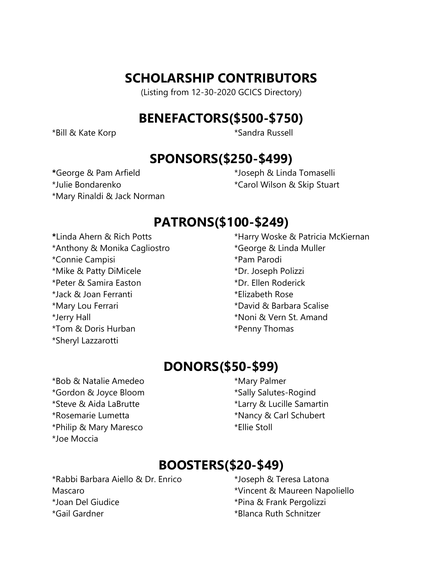#### **SCHOLARSHIP CONTRIBUTORS**

(Listing from 12-30-2020 GCICS Directory)

#### **BENEFACTORS(\$500-\$750)**

\*Bill & Kate Korp \*Sandra Russell

#### **SPONSORS(\$250-\$499)**

**\***George & Pam Arfield \*Julie Bondarenko \*Mary Rinaldi & Jack Norman \*Joseph & Linda Tomaselli \*Carol Wilson & Skip Stuart

#### **PATRONS(\$100-\$249)**

**\***Linda Ahern & Rich Potts \*Anthony & Monika Cagliostro \*Connie Campisi \*Mike & Patty DiMicele \*Peter & Samira Easton \*Jack & Joan Ferranti \*Mary Lou Ferrari \*Jerry Hall \*Tom & Doris Hurban \*Sheryl Lazzarotti

\*Harry Woske & Patricia McKiernan \*George & Linda Muller \*Pam Parodi \*Dr. Joseph Polizzi \*Dr. Ellen Roderick \*Elizabeth Rose \*David & Barbara Scalise \*Noni & Vern St. Amand \*Penny Thomas

## **DONORS(\$50-\$99)**

\*Bob & Natalie Amedeo \*Gordon & Joyce Bloom \*Steve & Aida LaBrutte \*Rosemarie Lumetta \*Philip & Mary Maresco \*Joe Moccia

\*Mary Palmer \*Sally Salutes-Rogind \*Larry & Lucille Samartin \*Nancy & Carl Schubert \*Ellie Stoll

## **BOOSTERS(\$20-\$49)**

\*Rabbi Barbara Aiello & Dr. Enrico Mascaro \*Joan Del Giudice \*Gail Gardner

\*Joseph & Teresa Latona \*Vincent & Maureen Napoliello \*Pina & Frank Pergolizzi \*Blanca Ruth Schnitzer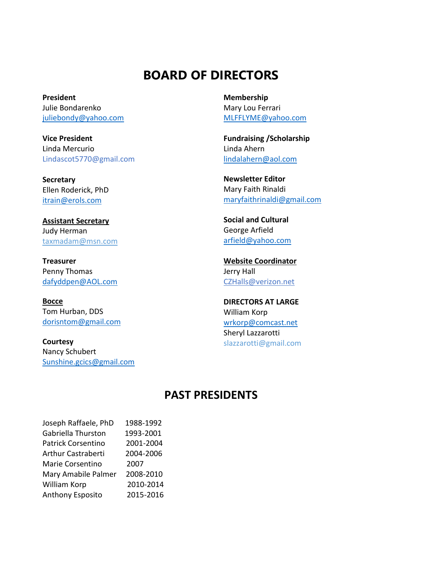#### **BOARD OF DIRECTORS**

**President** Julie Bondarenko juliebondy@yahoo.com

**Vice President** Linda Mercurio Lindascot5770@gmail.com

**Secretary** Ellen Roderick, PhD [itrain@erols.com](mailto:itrain@erols.com)

**Assistant Secretary** Judy Herman [taxmadam@msn.com](mailto:taxmadam@msn.com)

**Treasurer** Penny Thomas [dafyddpen@AOL.com](mailto:dafyddpen@AOL.com)

**Bocce** Tom Hurban, DDS [dorisntom@gmail.com](mailto:dorisntom@gmail.com)

**Courtesy** Nancy Schubert [Sunshine.gcics@gmail.com](mailto:Sunshine.gcics@gmail.com) **Membership** Mary Lou Ferrari [MLFFLYME@yahoo.com](mailto:MLFFLYME@yahoo.com)

**Fundraising /Scholarship** Linda Ahern [lindalahern@aol.com](mailto:lindalahern@aol.com)

**Newsletter Editor** Mary Faith Rinaldi [maryfaithrinaldi@gmail.com](mailto:maryfaithrinaldi@gmail.com)

**Social and Cultural** George Arfield [arfield@yahoo.com](mailto:arfield@yahoo.com)

**Website Coordinator** Jerry Hall CZHalls@verizon.net

**DIRECTORS AT LARGE** William Korp [wrkorp@comcast.net](mailto:wrkorp@comcast.net) Sheryl Lazzarotti slazzarotti@gmail.com

#### **PAST PRESIDENTS**

| Joseph Raffaele, PhD | 1988-1992 |
|----------------------|-----------|
| Gabriella Thurston   | 1993-2001 |
| Patrick Corsentino   | 2001-2004 |
| Arthur Castraberti   | 2004-2006 |
| Marie Corsentino     | 2007      |
| Mary Amabile Palmer  | 2008-2010 |
| William Korp         | 2010-2014 |
| Anthony Esposito     | 2015-2016 |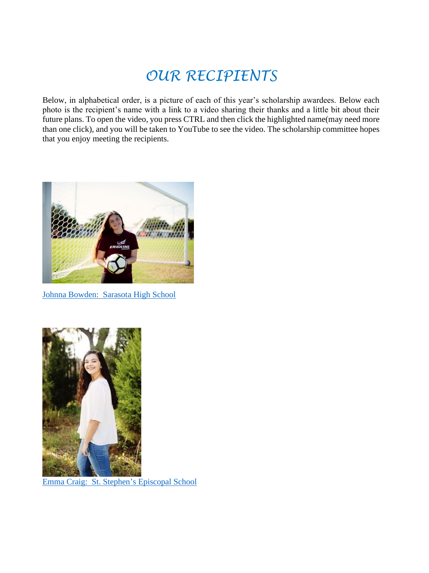## *OUR RECIPIENTS*

Below, in alphabetical order, is a picture of each of this year's scholarship awardees. Below each photo is the recipient's name with a link to a video sharing their thanks and a little bit about their future plans. To open the video, you press CTRL and then click the highlighted name(may need more than one click), and you will be taken to YouTube to see the video. The scholarship committee hopes that you enjoy meeting the recipients.



[Johnna Bowden: Sarasota High School](https://youtu.be/9K9JFaLqE1s)



[Emma Craig: St. Stephen's Episcopal School](https://youtu.be/v03Mi1ukVqI)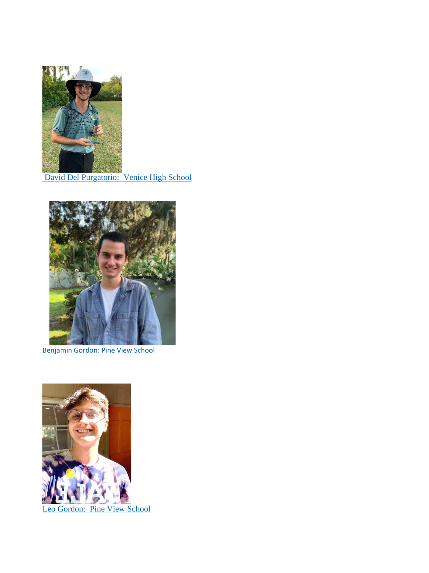

[David Del Purgatorio: Venice High School](https://youtu.be/Z6TDcNq3_fM)



[Benjamin Gordon: Pine View](https://youtu.be/OYyz9h3cUqw) School



[Leo Gordon: Pine View](https://youtu.be/1uNzUN2X0fo) School